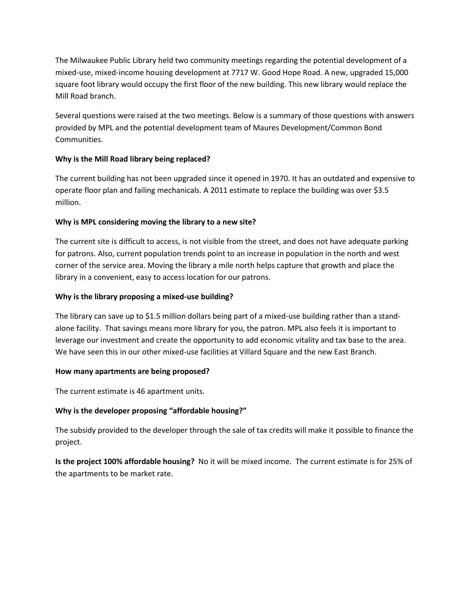The Milwaukee Public Library held two community meetings regarding the potential development of a mixed-use, mixed-income housing development at 7717 W. Good Hope Road. A new, upgraded 15,000 square foot library would occupy the first floor of the new building. This new library would replace the Mill Road branch.

Several questions were raised at the two meetings. Below is a summary of those questions with answers provided by MPL and the potential development team of Maures Development/Common Bond Communities.

# **Why is the Mill Road library being replaced?**

The current building has not been upgraded since it opened in 1970. It has an outdated and expensive to operate floor plan and failing mechanicals. A 2011 estimate to replace the building was over \$3.5 million.

# **Why is MPL considering moving the library to a new site?**

The current site is difficult to access, is not visible from the street, and does not have adequate parking for patrons. Also, current population trends point to an increase in population in the north and west corner of the service area. Moving the library a mile north helps capture that growth and place the library in a convenient, easy to access location for our patrons.

# **Why is the library proposing a mixed-use building?**

The library can save up to \$1.5 million dollars being part of a mixed-use building rather than a standalone facility. That savings means more library for you, the patron. MPL also feels it is important to leverage our investment and create the opportunity to add economic vitality and tax base to the area. We have seen this in our other mixed-use facilities at Villard Square and the new East Branch.

## **How many apartments are being proposed?**

The current estimate is 46 apartment units.

## **Why is the developer proposing "affordable housing?"**

The subsidy provided to the developer through the sale of tax credits will make it possible to finance the project.

**Is the project 100% affordable housing?** No it will be mixed income. The current estimate is for 25% of the apartments to be market rate.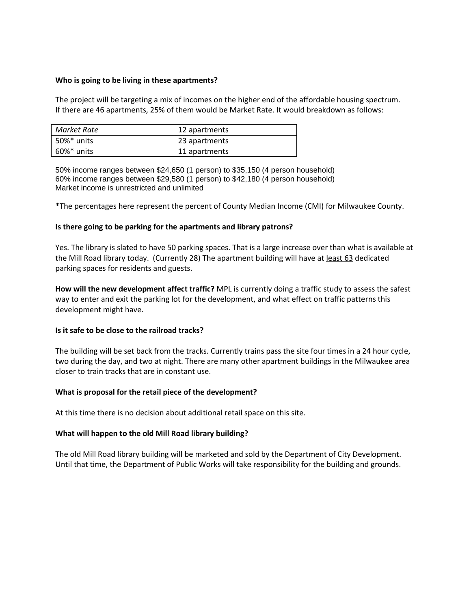#### **Who is going to be living in these apartments?**

The project will be targeting a mix of incomes on the higher end of the affordable housing spectrum. If there are 46 apartments, 25% of them would be Market Rate. It would breakdown as follows:

| Market Rate | 12 apartments |
|-------------|---------------|
| 50%* units  | 23 apartments |
| 60%* units  | 11 apartments |

50% income ranges between \$24,650 (1 person) to \$35,150 (4 person household) 60% income ranges between \$29,580 (1 person) to \$42,180 (4 person household) Market income is unrestricted and unlimited

\*The percentages here represent the percent of County Median Income (CMI) for Milwaukee County.

### **Is there going to be parking for the apartments and library patrons?**

Yes. The library is slated to have 50 parking spaces. That is a large increase over than what is available at the Mill Road library today. (Currently 28) The apartment building will have at least 63 dedicated parking spaces for residents and guests.

**How will the new development affect traffic?** MPL is currently doing a traffic study to assess the safest way to enter and exit the parking lot for the development, and what effect on traffic patterns this development might have.

### **Is it safe to be close to the railroad tracks?**

The building will be set back from the tracks. Currently trains pass the site four times in a 24 hour cycle, two during the day, and two at night. There are many other apartment buildings in the Milwaukee area closer to train tracks that are in constant use.

#### **What is proposal for the retail piece of the development?**

At this time there is no decision about additional retail space on this site.

#### **What will happen to the old Mill Road library building?**

The old Mill Road library building will be marketed and sold by the Department of City Development. Until that time, the Department of Public Works will take responsibility for the building and grounds.